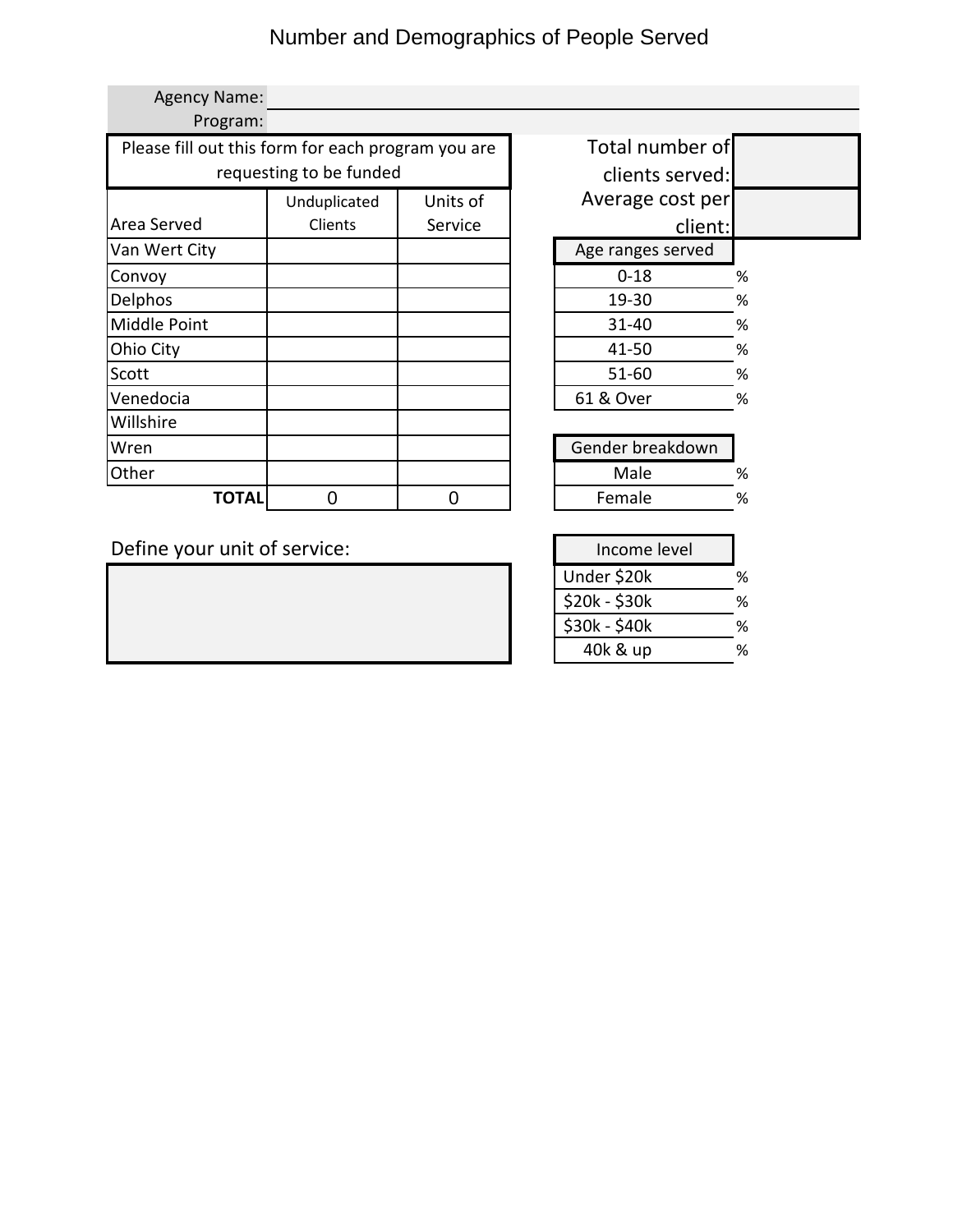# Number and Demographics of People Served

| <b>Agency Name:</b>                                |              |                 |                   |         |   |
|----------------------------------------------------|--------------|-----------------|-------------------|---------|---|
| Program:                                           |              |                 |                   |         |   |
| Please fill out this form for each program you are |              |                 | Total number of   |         |   |
| requesting to be funded                            |              | clients served: |                   |         |   |
|                                                    | Unduplicated | Units of        | Average cost per  |         |   |
| Area Served                                        | Clients      | Service         |                   | client: |   |
| Van Wert City                                      |              |                 | Age ranges served |         |   |
| Convoy                                             |              |                 | $0 - 18$          |         | % |
| Delphos                                            |              |                 | 19-30             |         | % |
| Middle Point                                       |              |                 | $31 - 40$         |         | % |
| Ohio City                                          |              |                 | 41-50             |         | % |
| Scott                                              |              |                 | $51 - 60$         |         | % |
| Venedocia                                          |              |                 | 61 & Over         |         | % |
| Willshire                                          |              |                 |                   |         |   |
| Wren                                               |              |                 | Gender breakdown  |         |   |
| Other                                              |              |                 | Male              |         | % |
| TOTAL                                              |              | 0               | Female            |         | % |

| Total number of   |   |
|-------------------|---|
| clients served:   |   |
| Average cost per  |   |
| client:           |   |
| Age ranges served |   |
| 0-18              | ℅ |
| 19-30             | ℅ |
| 31-40             | ℅ |
| 41-50             | ℅ |
| $51 - 60$         | ℅ |
| 61 & Over         | ℅ |
|                   |   |

Define your unit of service:

| Income level  |  |
|---------------|--|
| Under \$20k   |  |
| \$20k - \$30k |  |
| \$30k - \$40k |  |
| 40k & up      |  |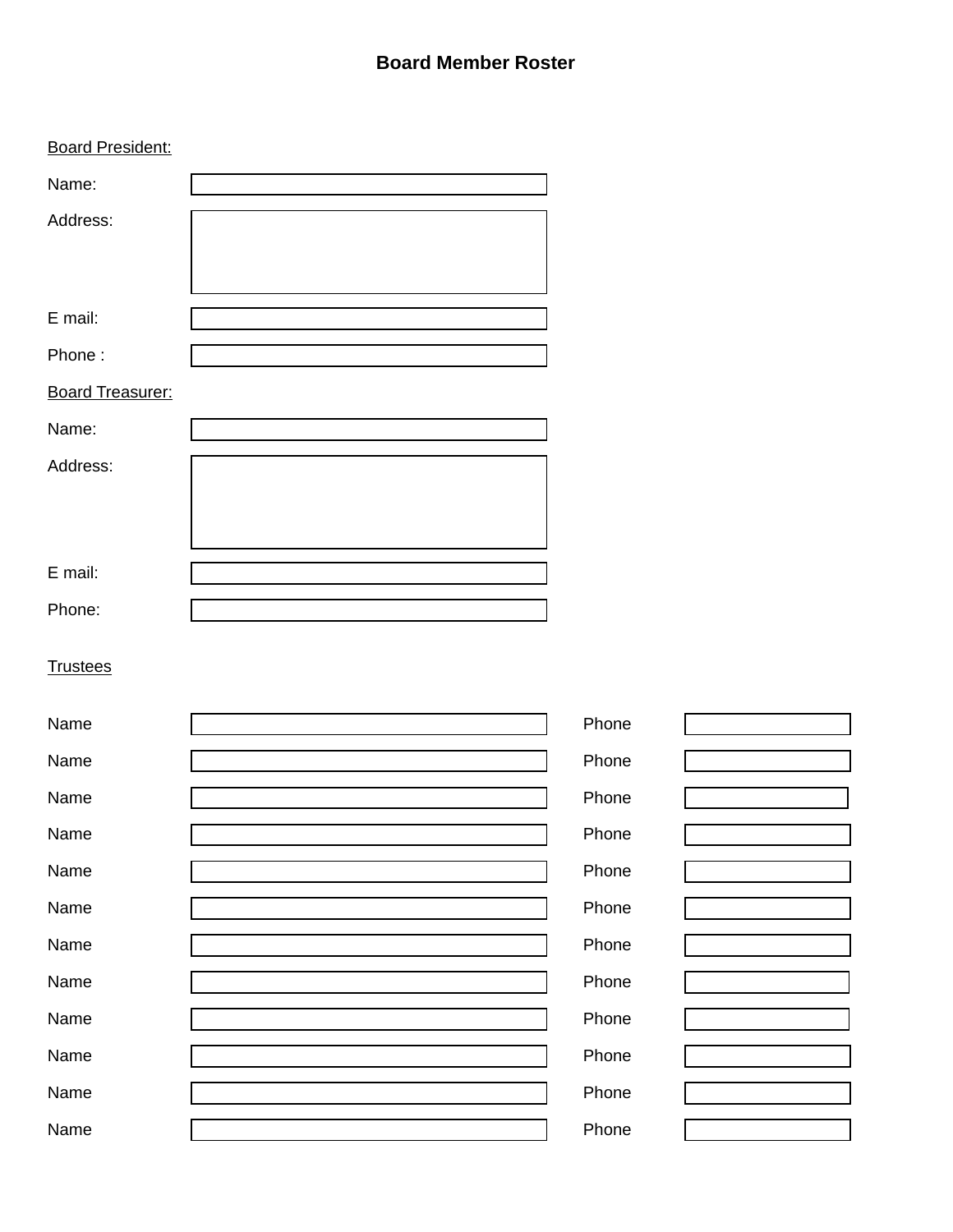#### **Board Member Roster**

| <b>Board President:</b> |       |
|-------------------------|-------|
| Name:                   |       |
| Address:                |       |
|                         |       |
|                         |       |
| E mail:                 |       |
| Phone:                  |       |
| <b>Board Treasurer:</b> |       |
| Name:                   |       |
| Address:                |       |
|                         |       |
|                         |       |
| E mail:                 |       |
| Phone:                  |       |
|                         |       |
| <b>Trustees</b>         |       |
| Name                    | Phone |
| Name                    | Phone |
| Name                    | Phone |
| Name                    | Phone |
| Name                    | Phone |
| Name                    | Phone |
| Name                    | Phone |
| Name                    | Phone |
|                         |       |
| Name                    | Phone |
| Name                    | Phone |
| Name                    | Phone |
| Name                    | Phone |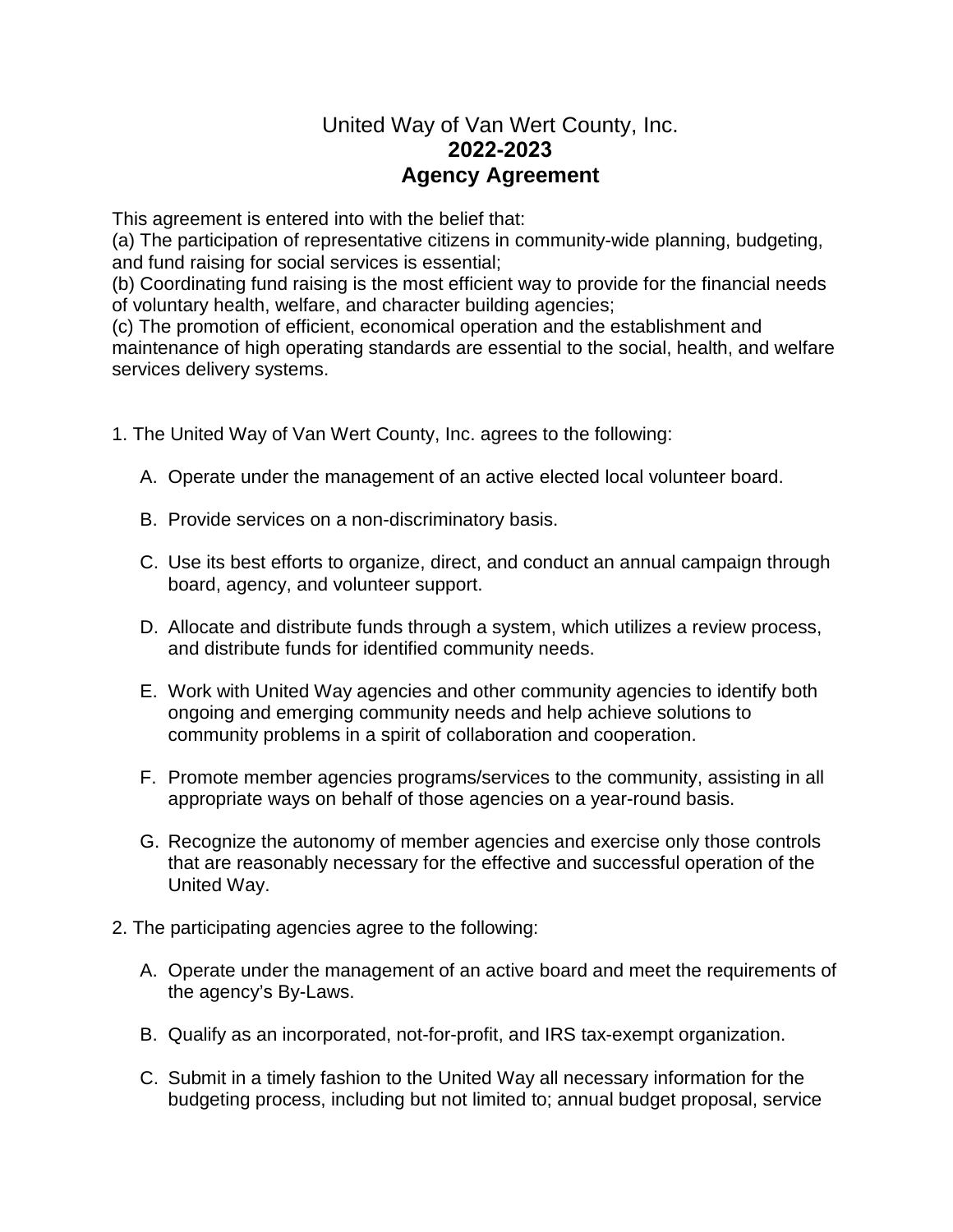### United Way of Van Wert County, Inc. **2022-2023 Agency Agreement**

This agreement is entered into with the belief that:

(a) The participation of representative citizens in community-wide planning, budgeting, and fund raising for social services is essential;

(b) Coordinating fund raising is the most efficient way to provide for the financial needs of voluntary health, welfare, and character building agencies;

(c) The promotion of efficient, economical operation and the establishment and maintenance of high operating standards are essential to the social, health, and welfare services delivery systems.

- 1. The United Way of Van Wert County, Inc. agrees to the following:
	- A. Operate under the management of an active elected local volunteer board.
	- B. Provide services on a non-discriminatory basis.
	- C. Use its best efforts to organize, direct, and conduct an annual campaign through board, agency, and volunteer support.
	- D. Allocate and distribute funds through a system, which utilizes a review process, and distribute funds for identified community needs.
	- E. Work with United Way agencies and other community agencies to identify both ongoing and emerging community needs and help achieve solutions to community problems in a spirit of collaboration and cooperation.
	- F. Promote member agencies programs/services to the community, assisting in all appropriate ways on behalf of those agencies on a year-round basis.
	- G. Recognize the autonomy of member agencies and exercise only those controls that are reasonably necessary for the effective and successful operation of the United Way.
- 2. The participating agencies agree to the following:
	- A. Operate under the management of an active board and meet the requirements of the agency's By-Laws.
	- B. Qualify as an incorporated, not-for-profit, and IRS tax-exempt organization.
	- C. Submit in a timely fashion to the United Way all necessary information for the budgeting process, including but not limited to; annual budget proposal, service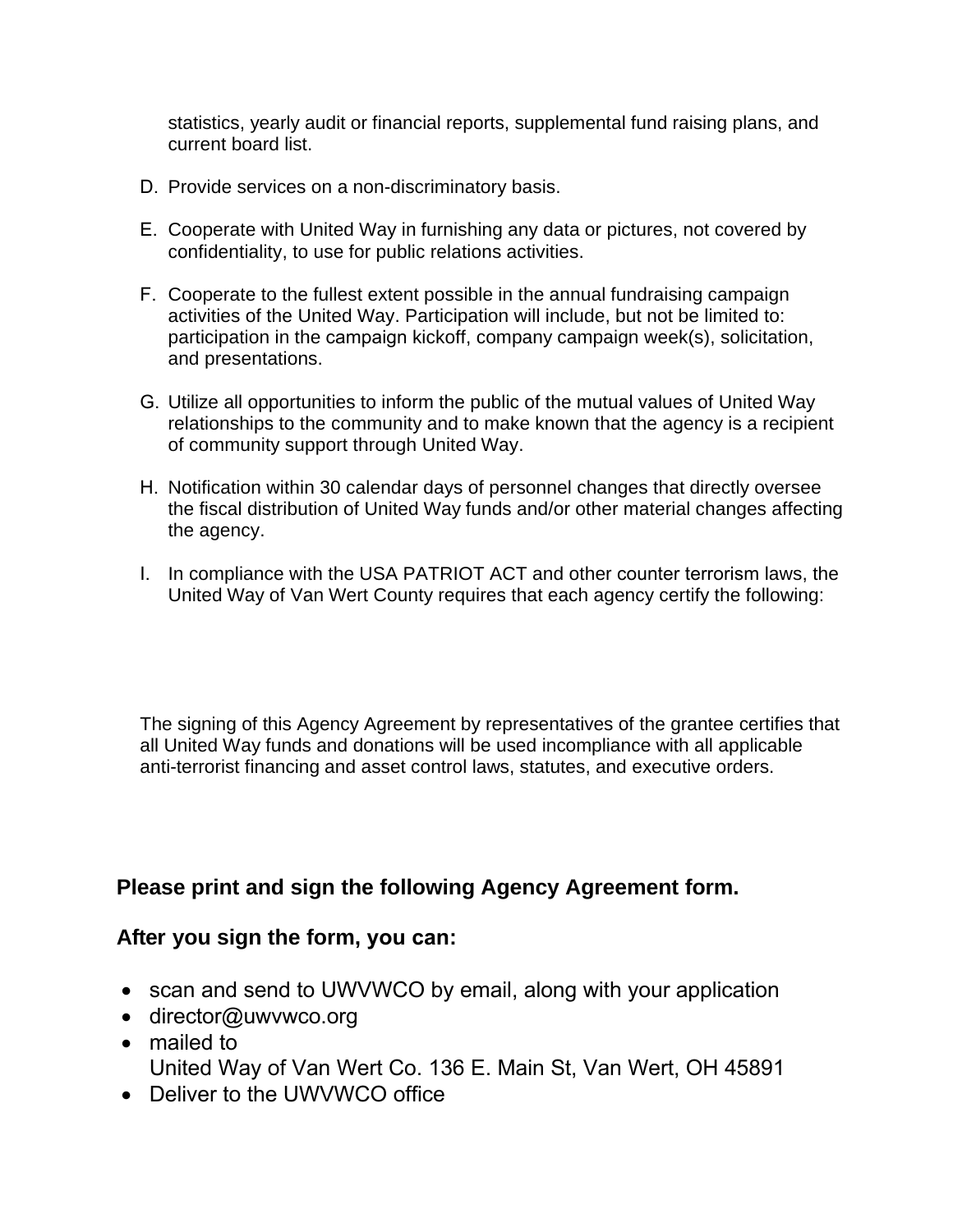statistics, yearly audit or financial reports, supplemental fund raising plans, and current board list.

- D. Provide services on a non-discriminatory basis.
- E. Cooperate with United Way in furnishing any data or pictures, not covered by confidentiality, to use for public relations activities.
- F. Cooperate to the fullest extent possible in the annual fundraising campaign activities of the United Way. Participation will include, but not be limited to: participation in the campaign kickoff, company campaign week(s), solicitation, and presentations.
- G. Utilize all opportunities to inform the public of the mutual values of United Way relationships to the community and to make known that the agency is a recipient of community support through United Way.
- H. Notification within 30 calendar days of personnel changes that directly oversee the fiscal distribution of United Way funds and/or other material changes affecting the agency.
- I. In compliance with the USA PATRIOT ACT and other counter terrorism laws, the United Way of Van Wert County requires that each agency certify the following:

The signing of this Agency Agreement by representatives of the grantee certifies that all United Way funds and donations will be used incompliance with all applicable anti-terrorist financing and asset control laws, statutes, and executive orders.

## **Please print and sign the following Agency Agreement form.**

#### **After you sign the form, you can:**

- scan and send to UWVWCO by email, along with your application
- director@uwvwco.org
- mailed to United Way of Van Wert Co. 136 E. Main St, Van Wert, OH 45891
- Deliver to the UWVWCO office